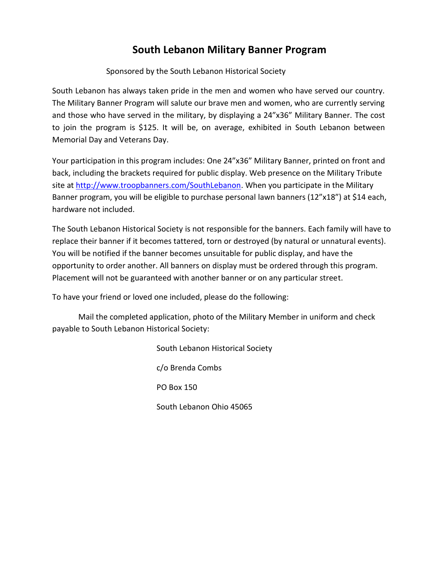## **South Lebanon Military Banner Program**

## Sponsored by the South Lebanon Historical Society

South Lebanon has always taken pride in the men and women who have served our country. The Military Banner Program will salute our brave men and women, who are currently serving and those who have served in the military, by displaying a 24"x36" Military Banner. The cost to join the program is \$125. It will be, on average, exhibited in South Lebanon between Memorial Day and Veterans Day.

Your participation in this program includes: One 24"x36" Military Banner, printed on front and back, including the brackets required for public display. Web presence on the Military Tribute site at [http://www.troopbanners.com/SouthLebanon.](http://www.troopbanners.com/SouthLebanon) When you participate in the Military Banner program, you will be eligible to purchase personal lawn banners (12"x18") at \$14 each, hardware not included.

The South Lebanon Historical Society is not responsible for the banners. Each family will have to replace their banner if it becomes tattered, torn or destroyed (by natural or unnatural events). You will be notified if the banner becomes unsuitable for public display, and have the opportunity to order another. All banners on display must be ordered through this program. Placement will not be guaranteed with another banner or on any particular street.

To have your friend or loved one included, please do the following:

Mail the completed application, photo of the Military Member in uniform and check payable to South Lebanon Historical Society:

> South Lebanon Historical Society c/o Brenda Combs PO Box 150 South Lebanon Ohio 45065